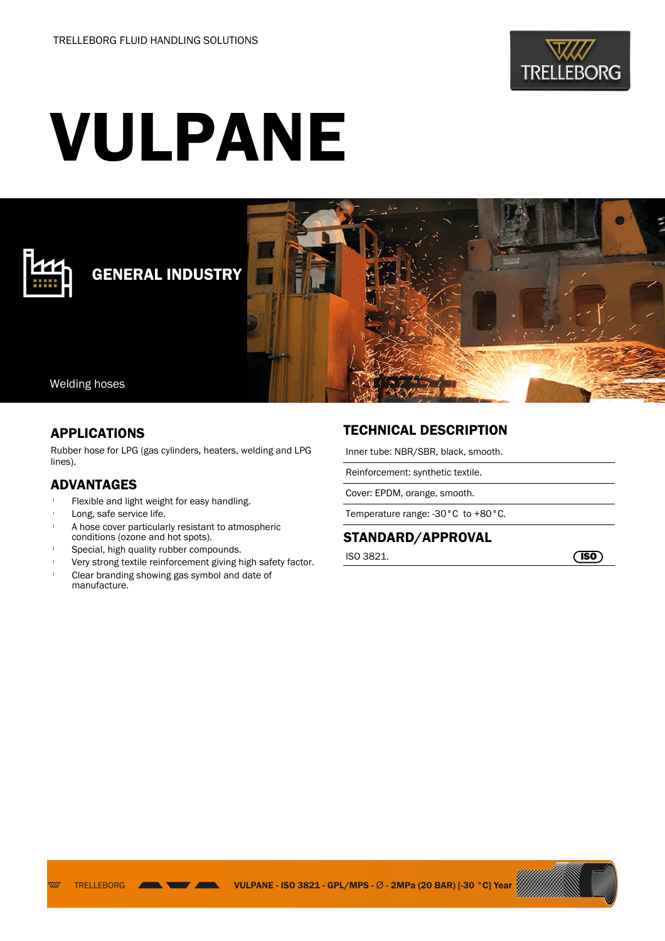

# VULPANE



## GENERAL INDUSTRY



#### Welding hoses

#### APPLICATIONS

Rubber hose for LPG (gas cylinders, heaters, welding and LPG lines).

#### ADVANTAGES

- Flexible and light weight for easy handling.
- Long, safe service life.

**TRELLEBORG** 

 $\overline{v}$ 

- A hose cover particularly resistant to atmospheric conditions (ozone and hot spots).
- Special, high quality rubber compounds.
- Very strong textile reinforcement giving high safety factor.
- <sup>l</sup> Clear branding showing gas symbol and date of manufacture.

### TECHNICAL DESCRIPTION

Inner tube: NBR/SBR, black, smooth.

Reinforcement: synthetic textile.

Cover: EPDM, orange, smooth.

Temperature range: -30°C to +80°C.

#### STANDARD/APPROVAL

 $\sqrt{150}$  ISO 3821.